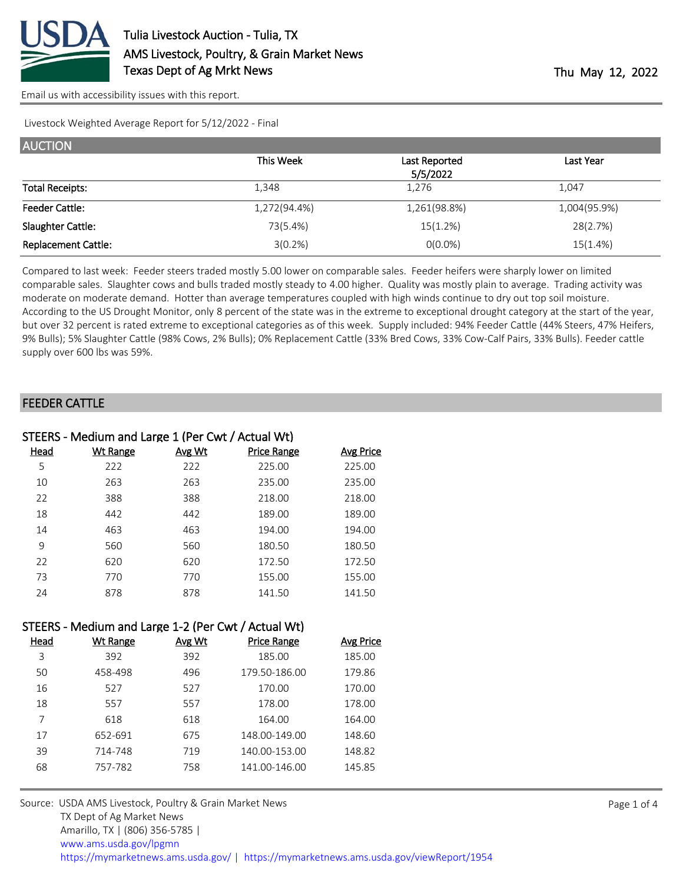

Livestock Weighted Average Report for 5/12/2022 - Final

| <b>AUCTION</b>             |              |               |              |
|----------------------------|--------------|---------------|--------------|
|                            | This Week    | Last Reported | Last Year    |
|                            |              | 5/5/2022      |              |
| <b>Total Receipts:</b>     | 1.348        | 1,276         | 1,047        |
| <b>Feeder Cattle:</b>      | 1,272(94.4%) | 1,261(98.8%)  | 1,004(95.9%) |
| Slaughter Cattle:          | 73(5.4%)     | 15(1.2%)      | 28(2.7%)     |
| <b>Replacement Cattle:</b> | 3(0.2%)      | $O(0.0\%)$    | 15(1.4%)     |

Compared to last week: Feeder steers traded mostly 5.00 lower on comparable sales. Feeder heifers were sharply lower on limited comparable sales. Slaughter cows and bulls traded mostly steady to 4.00 higher. Quality was mostly plain to average. Trading activity was moderate on moderate demand. Hotter than average temperatures coupled with high winds continue to dry out top soil moisture. According to the US Drought Monitor, only 8 percent of the state was in the extreme to exceptional drought category at the start of the year, but over 32 percent is rated extreme to exceptional categories as of this week. Supply included: 94% Feeder Cattle (44% Steers, 47% Heifers, 9% Bulls); 5% Slaughter Cattle (98% Cows, 2% Bulls); 0% Replacement Cattle (33% Bred Cows, 33% Cow-Calf Pairs, 33% Bulls). Feeder cattle supply over 600 lbs was 59%.

## FEEDER CATTLE

|             | STEERS - Medium and Large 1 (Per Cwt / Actual Wt) |               |                    |                  |
|-------------|---------------------------------------------------|---------------|--------------------|------------------|
| <u>Head</u> | Wt Range                                          | <b>Avg Wt</b> | <b>Price Range</b> | <b>Avg Price</b> |
| 5           | 222                                               | 222           | 225.00             | 225.00           |
| 10          | 263                                               | 263           | 235.00             | 235.00           |
| 22          | 388                                               | 388           | 218.00             | 218.00           |
| 18          | 442                                               | 442           | 189.00             | 189.00           |
| 14          | 463                                               | 463           | 194.00             | 194.00           |
| 9           | 560                                               | 560           | 180.50             | 180.50           |
| 22          | 620                                               | 620           | 172.50             | 172.50           |
| 73          | 770                                               | 770           | 155.00             | 155.00           |
| 24          | 878                                               | 878           | 141.50             | 141.50           |

|      | STEERS - Medium and Large 1-2 (Per Cwt / Actual Wt) |        |                    |                  |
|------|-----------------------------------------------------|--------|--------------------|------------------|
| Head | Wt Range                                            | Avg Wt | <b>Price Range</b> | <b>Avg Price</b> |
| २    | 392                                                 | 392    | 185.00             | 185.00           |
| 50   | 458-498                                             | 496    | 179.50-186.00      | 179.86           |
| 16   | 527                                                 | 527    | 170.00             | 170.00           |
| 18   | 557                                                 | 557    | 178.00             | 178.00           |

| 17 | 652-691                                                 | 675 | 148.00-149.00 | 148.60 |  |
|----|---------------------------------------------------------|-----|---------------|--------|--|
| 39 | 714-748                                                 | 719 | 140.00-153.00 | 148.82 |  |
| 68 | 757-782                                                 | 758 | 141.00-146.00 | 145.85 |  |
|    |                                                         |     |               |        |  |
|    | Source: USDA AMS Livestock, Poultry & Grain Market News |     |               |        |  |
|    | TX Dept of Ag Market News                               |     |               |        |  |
|    | Amarillo, TX   (806) 356-5785                           |     |               |        |  |
|    | www.ams.usda.gov/lpgmn                                  |     |               |        |  |

7 618 618 164.00 164.00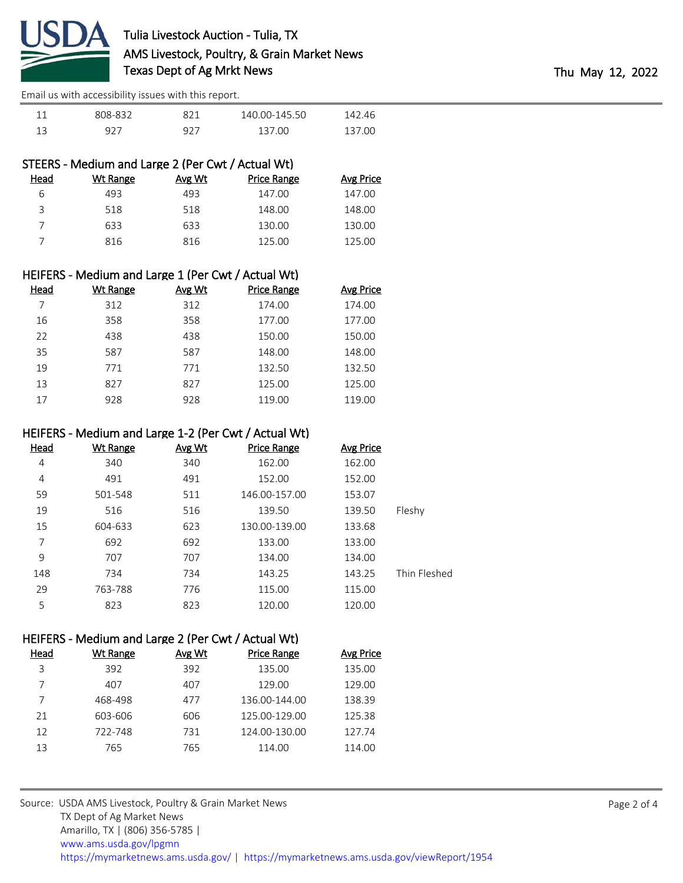

| 808-832 | 821 | 140.00-145.50 | 142.46 |
|---------|-----|---------------|--------|
| 927     | 927 | 137.00        | 137.00 |

|      | STEERS - Medium and Large 2 (Per Cwt / Actual Wt) |        |                    |           |
|------|---------------------------------------------------|--------|--------------------|-----------|
| Head | Wt Range                                          | Avg Wt | <b>Price Range</b> | Avg Price |
| 6    | 493                                               | 493    | 147.00             | 147.00    |
| २    | 518                                               | 518    | 148.00             | 148.00    |
|      | 633                                               | 633    | 130.00             | 130.00    |
|      | 816                                               | 816    | 125.00             | 125.00    |

|      | HEIFERS - Medium and Large 1 (Per Cwt / Actual Wt) |               |                    |                  |
|------|----------------------------------------------------|---------------|--------------------|------------------|
| Head | <b>Wt Range</b>                                    | <b>Avg Wt</b> | <b>Price Range</b> | <b>Avg Price</b> |
|      | 312                                                | 312           | 174.00             | 174.00           |
| 16   | 358                                                | 358           | 177.00             | 177.00           |
| 22   | 438                                                | 438           | 150.00             | 150.00           |
| 35   | 587                                                | 587           | 148.00             | 148.00           |
| 19   | 771                                                | 771           | 132.50             | 132.50           |
| 13   | 827                                                | 827           | 125.00             | 125.00           |
| 17   | 928                                                | 928           | 119.00             | 119.00           |

## HEIFERS - Medium and Large 1-2 (Per Cwt / Actual Wt)

| Head | Wt Range | <b>Avg Wt</b> | <b>Price Range</b> | <b>Avg Price</b> |              |
|------|----------|---------------|--------------------|------------------|--------------|
| 4    | 340      | 340           | 162.00             | 162.00           |              |
| 4    | 491      | 491           | 152.00             | 152.00           |              |
| 59   | 501-548  | 511           | 146.00-157.00      | 153.07           |              |
| 19   | 516      | 516           | 139.50             | 139.50           | Fleshy       |
| 15   | 604-633  | 623           | 130.00-139.00      | 133.68           |              |
| 7    | 692      | 692           | 133.00             | 133.00           |              |
| 9    | 707      | 707           | 134.00             | 134.00           |              |
| 148  | 734      | 734           | 143.25             | 143.25           | Thin Fleshed |
| 29   | 763-788  | 776           | 115.00             | 115.00           |              |
| 5    | 823      | 823           | 120.00             | 120.00           |              |

## HEIFERS - Medium and Large 2 (Per Cwt / Actual Wt)

| Head | Wt Range | Avg Wt | <b>Price Range</b> | <b>Avg Price</b> |
|------|----------|--------|--------------------|------------------|
| 3    | 392      | 392    | 135.00             | 135.00           |
|      | 407      | 407    | 129.00             | 129.00           |
|      | 468-498  | 477    | 136.00-144.00      | 138.39           |
| 21   | 603-606  | 606    | 125.00-129.00      | 125.38           |
| 12   | 722-748  | 731    | 124.00-130.00      | 127.74           |
| 13   | 765      | 765    | 114.00             | 114.00           |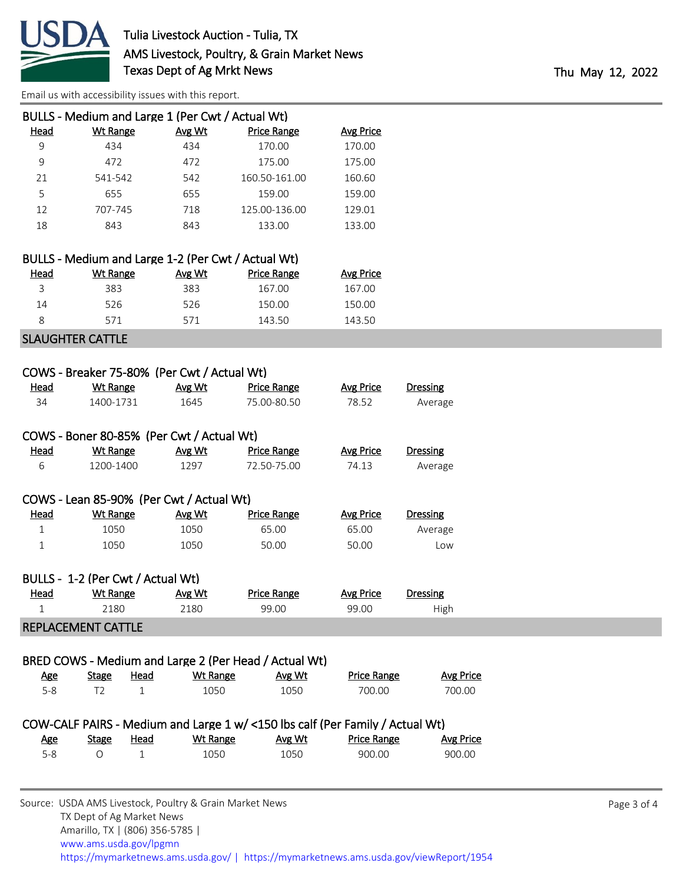

|      | BULLS - Medium and Large 1 (Per Cwt / Actual Wt) |        |                    |                  |
|------|--------------------------------------------------|--------|--------------------|------------------|
| Head | Wt Range                                         | Avg Wt | <b>Price Range</b> | <b>Avg Price</b> |
| 9    | 434                                              | 434    | 170.00             | 170.00           |
| 9    | 472                                              | 472    | 175.00             | 175.00           |
| 21   | 541-542                                          | 542    | 160.50-161.00      | 160.60           |
| 5    | 655                                              | 655    | 159.00             | 159.00           |
| 12   | 707-745                                          | 718    | 125.00-136.00      | 129.01           |
| 18   | 843                                              | 843    | 133.00             | 133.00           |
|      |                                                  |        |                    |                  |

|      | BULLS - Medium and Large 1-2 (Per Cwt / Actual Wt) |        |                    |           |
|------|----------------------------------------------------|--------|--------------------|-----------|
| Head | Wt Range                                           | Avg Wt | <b>Price Range</b> | Avg Price |
|      | 383                                                | 383    | 167.00             | 167.00    |
| 14   | 526                                                | 526    | 150.00             | 150.00    |
|      | 571                                                | 571    | 143.50             | 143.50    |
|      | $C1$ and $C1$ if $C2$ and $C3$ if $C4$ if $C5$     |        |                    |           |

## SLAUGHTER CATTLE

| Head        | Wt Range                          | <b>Avg Wt</b>                                                                 | <b>Price Range</b> | <b>Avg Price</b>   | <b>Dressing</b>  |
|-------------|-----------------------------------|-------------------------------------------------------------------------------|--------------------|--------------------|------------------|
| 34          | 1400-1731                         | 1645                                                                          | 75.00-80.50        | 78.52              | Average          |
|             |                                   | COWS - Boner 80-85% (Per Cwt / Actual Wt)                                     |                    |                    |                  |
| <b>Head</b> | <b>Wt Range</b>                   | Avg Wt                                                                        | <b>Price Range</b> | <b>Avg Price</b>   | <b>Dressing</b>  |
| 6           | 1200-1400                         | 1297                                                                          | 72.50-75.00        | 74.13              | Average          |
|             |                                   | COWS - Lean 85-90% (Per Cwt / Actual Wt)                                      |                    |                    |                  |
| Head        | <b>Wt Range</b>                   | Avg Wt                                                                        | <b>Price Range</b> | <b>Avg Price</b>   | <b>Dressing</b>  |
| $\mathbf 1$ | 1050                              | 1050                                                                          | 65.00              | 65.00              | Average          |
| 1           | 1050                              | 1050                                                                          | 50.00              | 50.00              | Low              |
|             | BULLS - 1-2 (Per Cwt / Actual Wt) |                                                                               |                    |                    |                  |
| <u>Head</u> | <b>Wt Range</b>                   | Avg Wt                                                                        | <b>Price Range</b> | <b>Avg Price</b>   | Dressing         |
| $\mathbf 1$ | 2180                              | 2180                                                                          | 99.00              | 99.00              | High             |
|             | <b>REPLACEMENT CATTLE</b>         |                                                                               |                    |                    |                  |
|             |                                   | BRED COWS - Medium and Large 2 (Per Head / Actual Wt)                         |                    |                    |                  |
| <b>Age</b>  | <u>Head</u><br><b>Stage</b>       | <b>Wt Range</b>                                                               | Avg Wt             | <b>Price Range</b> | <b>Avg Price</b> |
| $5 - 8$     | T <sub>2</sub><br>$\mathbf{1}$    | 1050                                                                          | 1050               | 700.00             | 700.00           |
|             |                                   | COW-CALF PAIRS - Medium and Large 1 w/ <150 lbs calf (Per Family / Actual Wt) |                    |                    |                  |
| <u>Age</u>  | <b>Stage</b><br><u>Head</u>       | <b>Wt Range</b>                                                               | Avg Wt             | <b>Price Range</b> | <b>Avg Price</b> |
| $5 - 8$     | $\mathbf{1}$<br>$\circ$           | 1050                                                                          | 1050               | 900.00             | 900.00           |
|             |                                   |                                                                               |                    |                    |                  |